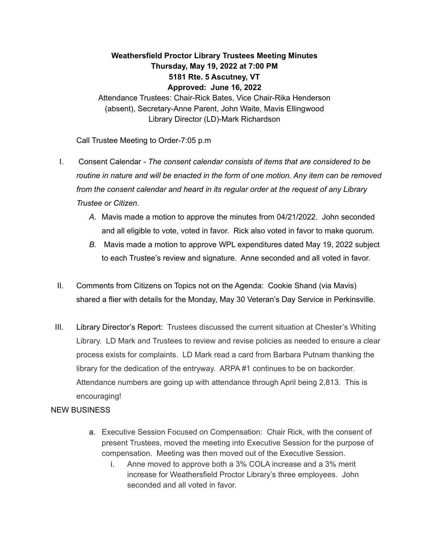## **Weathersfield Proctor Library Trustees Meeting Minutes Thursday, May 19, 2022 at 7:00 PM 5181 Rte. 5 Ascutney, VT Approved: June 16, 2022**

Attendance Trustees: Chair-Rick Bates, Vice Chair-Rika Henderson (absent), Secretary-Anne Parent, John Waite, Mavis Ellingwood Library Director (LD)-Mark Richardson

Call Trustee Meeting to Order-7:05 p.m

- I. Consent Calendar *The consent calendar consists of items that are considered to be routine in nature and will be enacted in the form of one motion. Any item can be removed from the consent calendar and heard in its regular order at the request of any Library Trustee or Citizen.*
	- *A.* Mavis made a motion to approve the minutes from 04/21/2022. John seconded and all eligible to vote, voted in favor. Rick also voted in favor to make quorum.
	- *B.* Mavis made a motion to approve WPL expenditures dated May 19, 2022 subject to each Trustee's review and signature. Anne seconded and all voted in favor.
- II. Comments from Citizens on Topics not on the Agenda: Cookie Shand (via Mavis) shared a flier with details for the Monday, May 30 Veteran's Day Service in Perkinsville.
- III. Library Director's Report: Trustees discussed the current situation at Chester's Whiting Library. LD Mark and Trustees to review and revise policies as needed to ensure a clear process exists for complaints. LD Mark read a card from Barbara Putnam thanking the library for the dedication of the entryway. ARPA #1 continues to be on backorder. Attendance numbers are going up with attendance through April being 2,813. This is encouraging!

## NEW BUSINESS

- a. Executive Session Focused on Compensation: Chair Rick, with the consent of present Trustees, moved the meeting into Executive Session for the purpose of compensation. Meeting was then moved out of the Executive Session.
	- i. Anne moved to approve both a 3% COLA increase and a 3% merit increase for Weathersfield Proctor Library's three employees. John seconded and all voted in favor.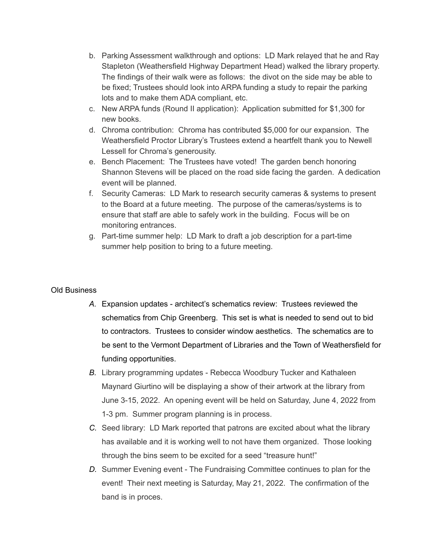- b. Parking Assessment walkthrough and options: LD Mark relayed that he and Ray Stapleton (Weathersfield Highway Department Head) walked the library property. The findings of their walk were as follows: the divot on the side may be able to be fixed; Trustees should look into ARPA funding a study to repair the parking lots and to make them ADA compliant, etc.
- c. New ARPA funds (Round II application): Application submitted for \$1,300 for new books.
- d. Chroma contribution: Chroma has contributed \$5,000 for our expansion. The Weathersfield Proctor Library's Trustees extend a heartfelt thank you to Newell Lessell for Chroma's generousity.
- e. Bench Placement: The Trustees have voted! The garden bench honoring Shannon Stevens will be placed on the road side facing the garden. A dedication event will be planned.
- f. Security Cameras: LD Mark to research security cameras & systems to present to the Board at a future meeting. The purpose of the cameras/systems is to ensure that staff are able to safely work in the building. Focus will be on monitoring entrances.
- g. Part-time summer help: LD Mark to draft a job description for a part-time summer help position to bring to a future meeting.

## Old Business

- *A.* Expansion updates architect's schematics review: Trustees reviewed the schematics from Chip Greenberg. This set is what is needed to send out to bid to contractors. Trustees to consider window aesthetics. The schematics are to be sent to the Vermont Department of Libraries and the Town of Weathersfield for funding opportunities.
- *B.* Library programming updates Rebecca Woodbury Tucker and Kathaleen Maynard Giurtino will be displaying a show of their artwork at the library from June 3-15, 2022. An opening event will be held on Saturday, June 4, 2022 from 1-3 pm. Summer program planning is in process.
- *C.* Seed library: LD Mark reported that patrons are excited about what the library has available and it is working well to not have them organized. Those looking through the bins seem to be excited for a seed "treasure hunt!"
- *D.* Summer Evening event The Fundraising Committee continues to plan for the event! Their next meeting is Saturday, May 21, 2022. The confirmation of the band is in proces.